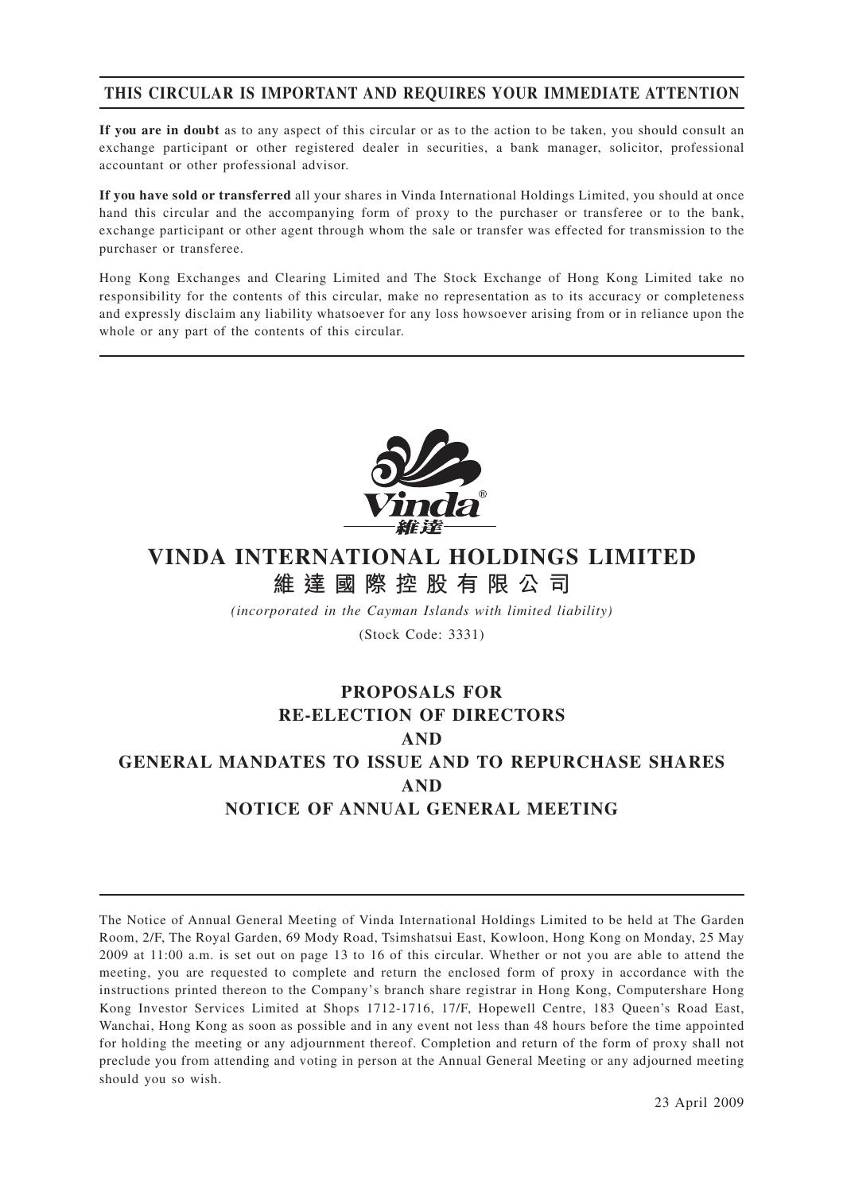# **THIS CIRCULAR IS IMPORTANT AND REQUIRES YOUR IMMEDIATE ATTENTION**

**If you are in doubt** as to any aspect of this circular or as to the action to be taken, you should consult an exchange participant or other registered dealer in securities, a bank manager, solicitor, professional accountant or other professional advisor.

**If you have sold or transferred** all your shares in Vinda International Holdings Limited, you should at once hand this circular and the accompanying form of proxy to the purchaser or transferee or to the bank, exchange participant or other agent through whom the sale or transfer was effected for transmission to the purchaser or transferee.

Hong Kong Exchanges and Clearing Limited and The Stock Exchange of Hong Kong Limited take no responsibility for the contents of this circular, make no representation as to its accuracy or completeness and expressly disclaim any liability whatsoever for any loss howsoever arising from or in reliance upon the whole or any part of the contents of this circular.



# **VINDA INTERNATIONAL HOLDINGS LIMITED 維達國際控股有限公司**

*(incorporated in the Cayman Islands with limited liability)*

(Stock Code: 3331)

# **PROPOSALS FOR RE-ELECTION OF DIRECTORS AND GENERAL MANDATES TO ISSUE AND TO REPURCHASE SHARES AND NOTICE OF ANNUAL GENERAL MEETING**

The Notice of Annual General Meeting of Vinda International Holdings Limited to be held at The Garden Room, 2/F, The Royal Garden, 69 Mody Road, Tsimshatsui East, Kowloon, Hong Kong on Monday, 25 May 2009 at 11:00 a.m. is set out on page 13 to 16 of this circular. Whether or not you are able to attend the meeting, you are requested to complete and return the enclosed form of proxy in accordance with the instructions printed thereon to the Company's branch share registrar in Hong Kong, Computershare Hong Kong Investor Services Limited at Shops 1712-1716, 17/F, Hopewell Centre, 183 Queen's Road East, Wanchai, Hong Kong as soon as possible and in any event not less than 48 hours before the time appointed for holding the meeting or any adjournment thereof. Completion and return of the form of proxy shall not preclude you from attending and voting in person at the Annual General Meeting or any adjourned meeting should you so wish.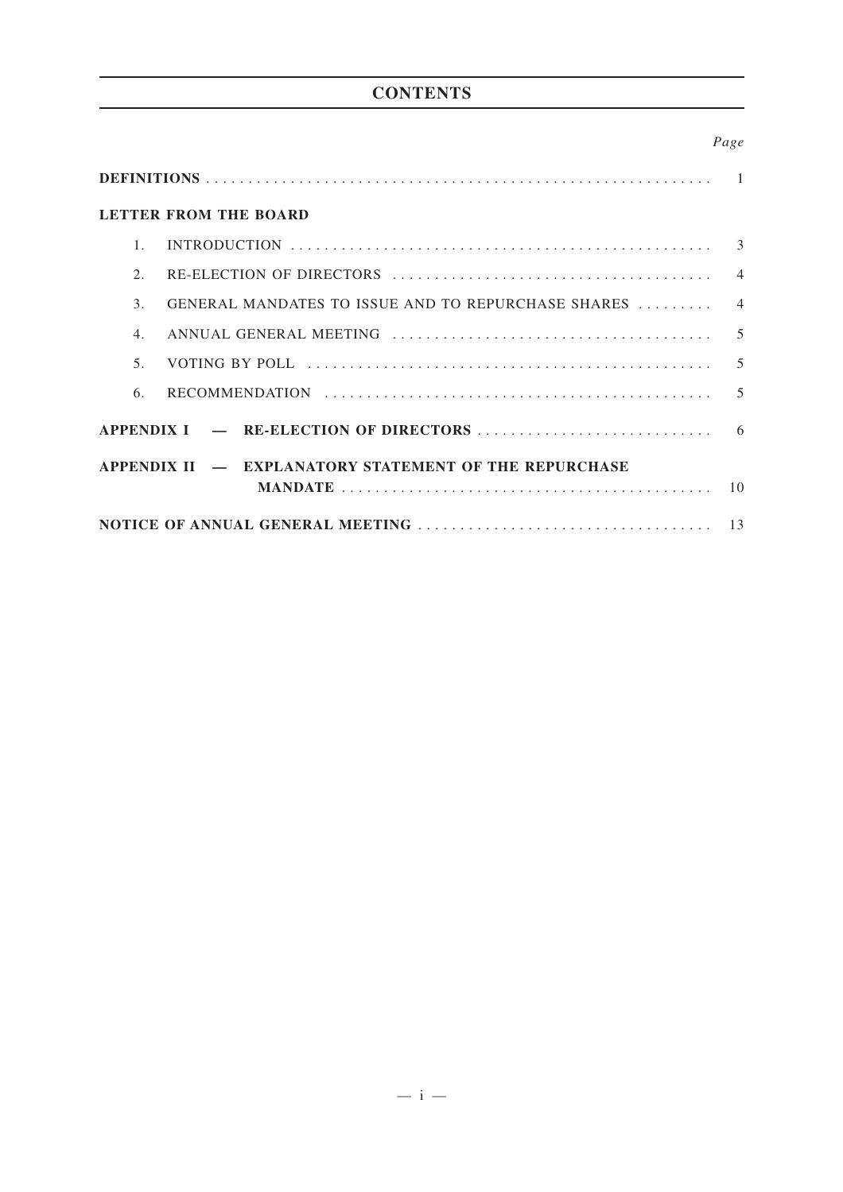# **CONTENTS**

## *Page*

|                  | <b>LETTER FROM THE BOARD</b>                          |  |
|------------------|-------------------------------------------------------|--|
| 1                |                                                       |  |
| 2.               |                                                       |  |
| $\mathcal{E}$    | GENERAL MANDATES TO ISSUE AND TO REPURCHASE SHARES  4 |  |
| $\overline{4}$ . |                                                       |  |
| 5 <sub>1</sub>   |                                                       |  |
| 6.               |                                                       |  |
|                  |                                                       |  |
|                  | APPENDIX II - EXPLANATORY STATEMENT OF THE REPURCHASE |  |
|                  |                                                       |  |
|                  |                                                       |  |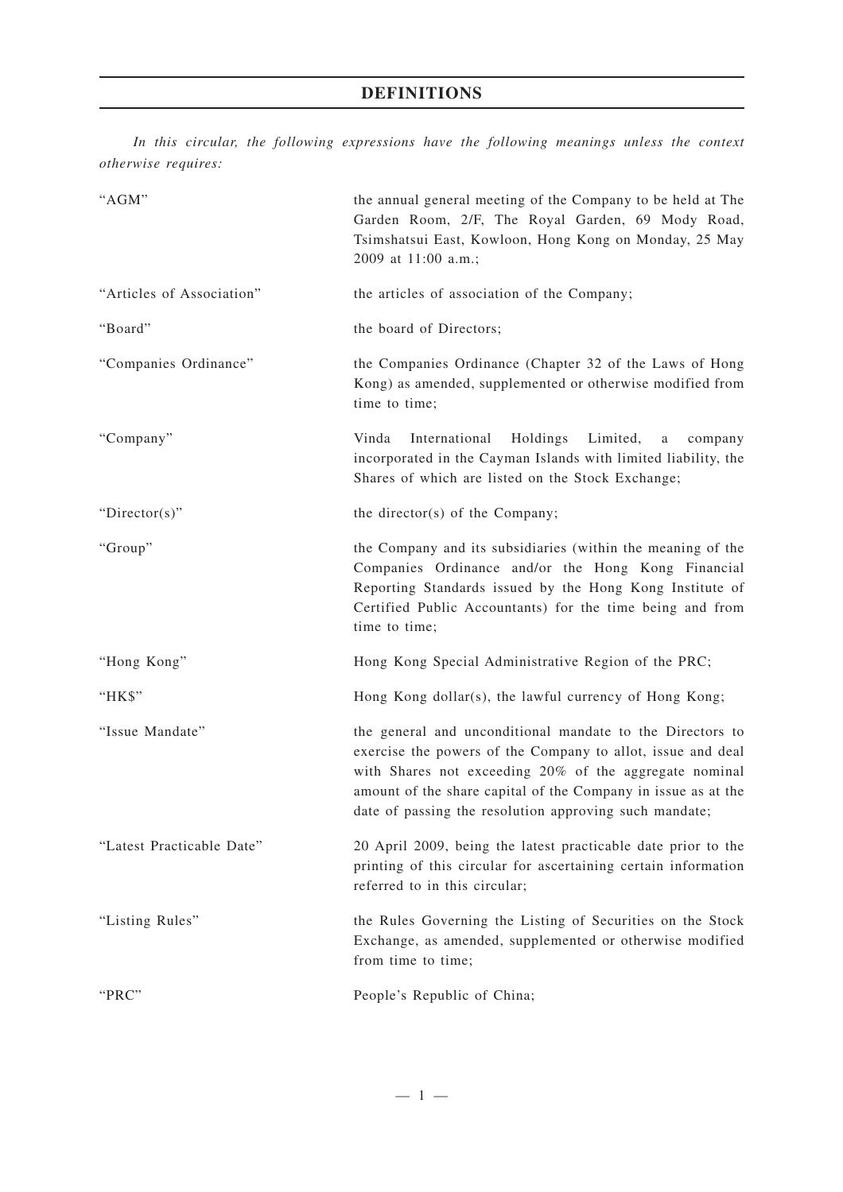# **DEFINITIONS**

*In this circular, the following expressions have the following meanings unless the context otherwise requires:*

| "AGM"                     | the annual general meeting of the Company to be held at The<br>Garden Room, 2/F, The Royal Garden, 69 Mody Road,<br>Tsimshatsui East, Kowloon, Hong Kong on Monday, 25 May<br>2009 at 11:00 a.m.;                                                                                                             |
|---------------------------|---------------------------------------------------------------------------------------------------------------------------------------------------------------------------------------------------------------------------------------------------------------------------------------------------------------|
| "Articles of Association" | the articles of association of the Company;                                                                                                                                                                                                                                                                   |
| "Board"                   | the board of Directors;                                                                                                                                                                                                                                                                                       |
| "Companies Ordinance"     | the Companies Ordinance (Chapter 32 of the Laws of Hong<br>Kong) as amended, supplemented or otherwise modified from<br>time to time;                                                                                                                                                                         |
| "Company"                 | International<br>Holdings<br>Limited,<br>Vinda<br>a<br>company<br>incorporated in the Cayman Islands with limited liability, the<br>Shares of which are listed on the Stock Exchange;                                                                                                                         |
| "Director(s)"             | the director(s) of the Company;                                                                                                                                                                                                                                                                               |
| "Group"                   | the Company and its subsidiaries (within the meaning of the<br>Companies Ordinance and/or the Hong Kong Financial<br>Reporting Standards issued by the Hong Kong Institute of<br>Certified Public Accountants) for the time being and from<br>time to time;                                                   |
| "Hong Kong"               | Hong Kong Special Administrative Region of the PRC;                                                                                                                                                                                                                                                           |
| "HK\$"                    | Hong Kong dollar(s), the lawful currency of Hong Kong;                                                                                                                                                                                                                                                        |
| "Issue Mandate"           | the general and unconditional mandate to the Directors to<br>exercise the powers of the Company to allot, issue and deal<br>with Shares not exceeding 20% of the aggregate nominal<br>amount of the share capital of the Company in issue as at the<br>date of passing the resolution approving such mandate; |
| "Latest Practicable Date" | 20 April 2009, being the latest practicable date prior to the<br>printing of this circular for ascertaining certain information<br>referred to in this circular;                                                                                                                                              |
| "Listing Rules"           | the Rules Governing the Listing of Securities on the Stock<br>Exchange, as amended, supplemented or otherwise modified<br>from time to time;                                                                                                                                                                  |
| "PRC"                     | People's Republic of China;                                                                                                                                                                                                                                                                                   |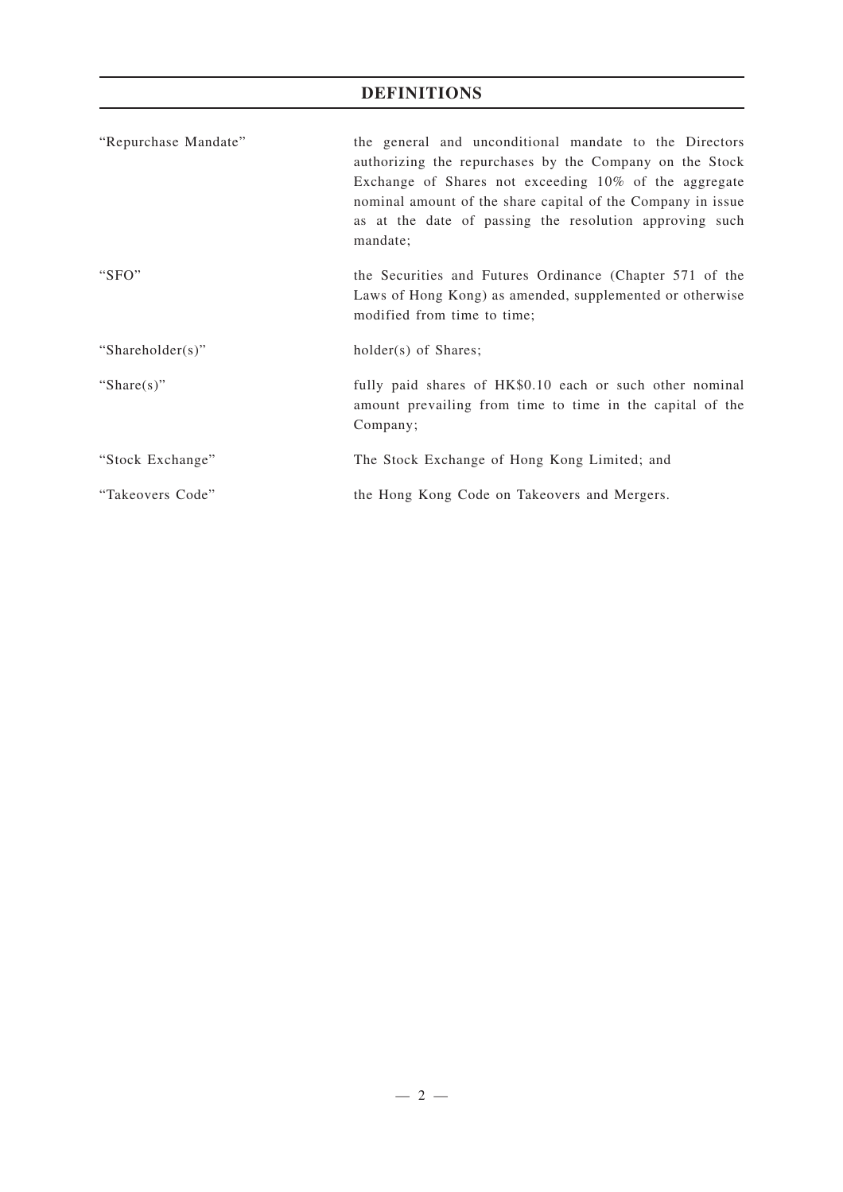# **DEFINITIONS**

| "Repurchase Mandate" | the general and unconditional mandate to the Directors<br>authorizing the repurchases by the Company on the Stock<br>Exchange of Shares not exceeding $10\%$ of the aggregate<br>nominal amount of the share capital of the Company in issue<br>as at the date of passing the resolution approving such<br>mandate; |
|----------------------|---------------------------------------------------------------------------------------------------------------------------------------------------------------------------------------------------------------------------------------------------------------------------------------------------------------------|
| " $SFO"$             | the Securities and Futures Ordinance (Chapter 571 of the<br>Laws of Hong Kong) as amended, supplemented or otherwise<br>modified from time to time;                                                                                                                                                                 |
| "Shareholder(s)"     | holder(s) of Shares;                                                                                                                                                                                                                                                                                                |
| "Share $(s)$ "       | fully paid shares of HK\$0.10 each or such other nominal<br>amount prevailing from time to time in the capital of the<br>Company;                                                                                                                                                                                   |
| "Stock Exchange"     | The Stock Exchange of Hong Kong Limited; and                                                                                                                                                                                                                                                                        |
| "Takeovers Code"     | the Hong Kong Code on Takeovers and Mergers.                                                                                                                                                                                                                                                                        |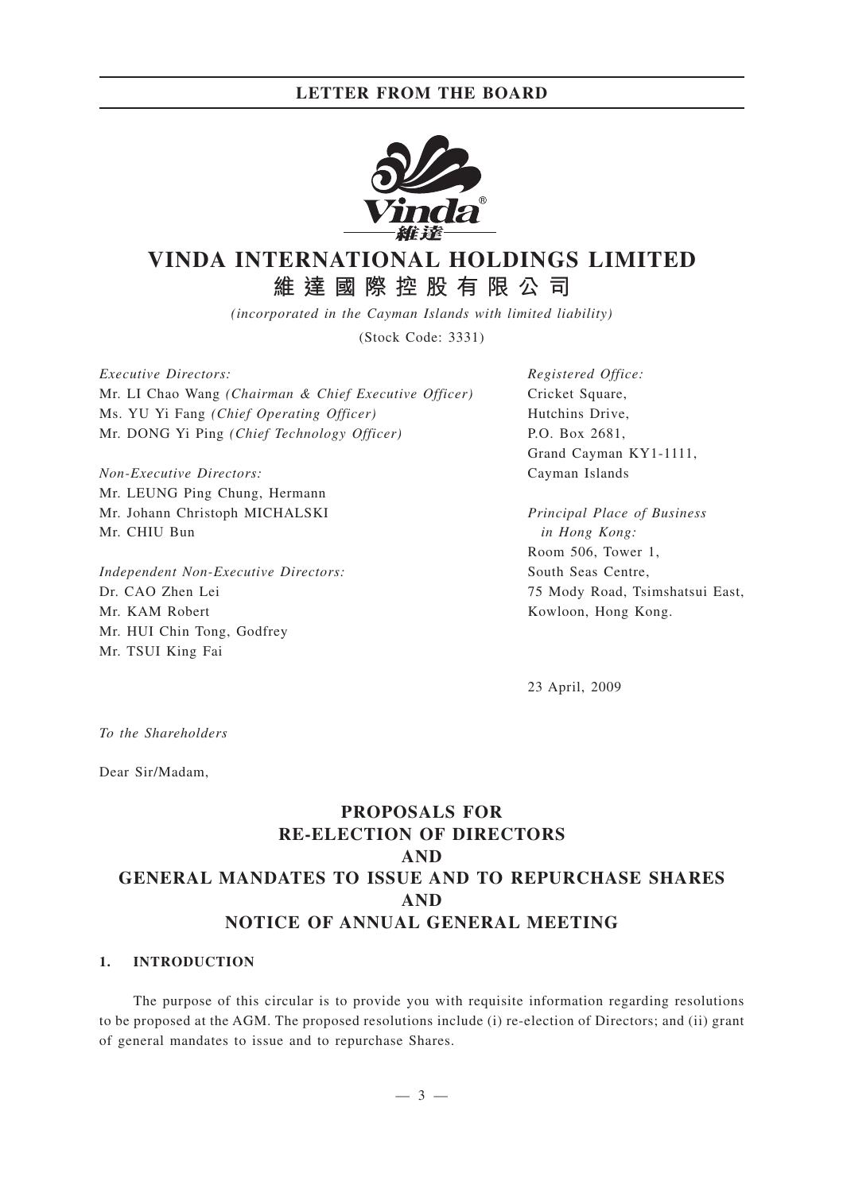## **LETTER FROM THE BOARD**



# **VINDA INTERNATIONAL HOLDINGS LIMITED 維達國際控股有限公司**

*(incorporated in the Cayman Islands with limited liability)*

(Stock Code: 3331)

*Executive Directors:* Mr. LI Chao Wang *(Chairman & Chief Executive Officer)* Ms. YU Yi Fang *(Chief Operating Officer)* Mr. DONG Yi Ping *(Chief Technology Officer)*

*Non-Executive Directors:* Mr. LEUNG Ping Chung, Hermann Mr. Johann Christoph MICHALSKI Mr. CHIU Bun

*Independent Non-Executive Directors:* Dr. CAO Zhen Lei Mr. KAM Robert Mr. HUI Chin Tong, Godfrey Mr. TSUI King Fai

*Registered Office:* Cricket Square, Hutchins Drive, P.O. Box 2681, Grand Cayman KY1-1111, Cayman Islands

*Principal Place of Business in Hong Kong:* Room 506, Tower 1, South Seas Centre, 75 Mody Road, Tsimshatsui East, Kowloon, Hong Kong.

23 April, 2009

*To the Shareholders*

Dear Sir/Madam,

# **PROPOSALS FOR RE-ELECTION OF DIRECTORS AND GENERAL MANDATES TO ISSUE AND TO REPURCHASE SHARES AND NOTICE OF ANNUAL GENERAL MEETING**

### **1. INTRODUCTION**

The purpose of this circular is to provide you with requisite information regarding resolutions to be proposed at the AGM. The proposed resolutions include (i) re-election of Directors; and (ii) grant of general mandates to issue and to repurchase Shares.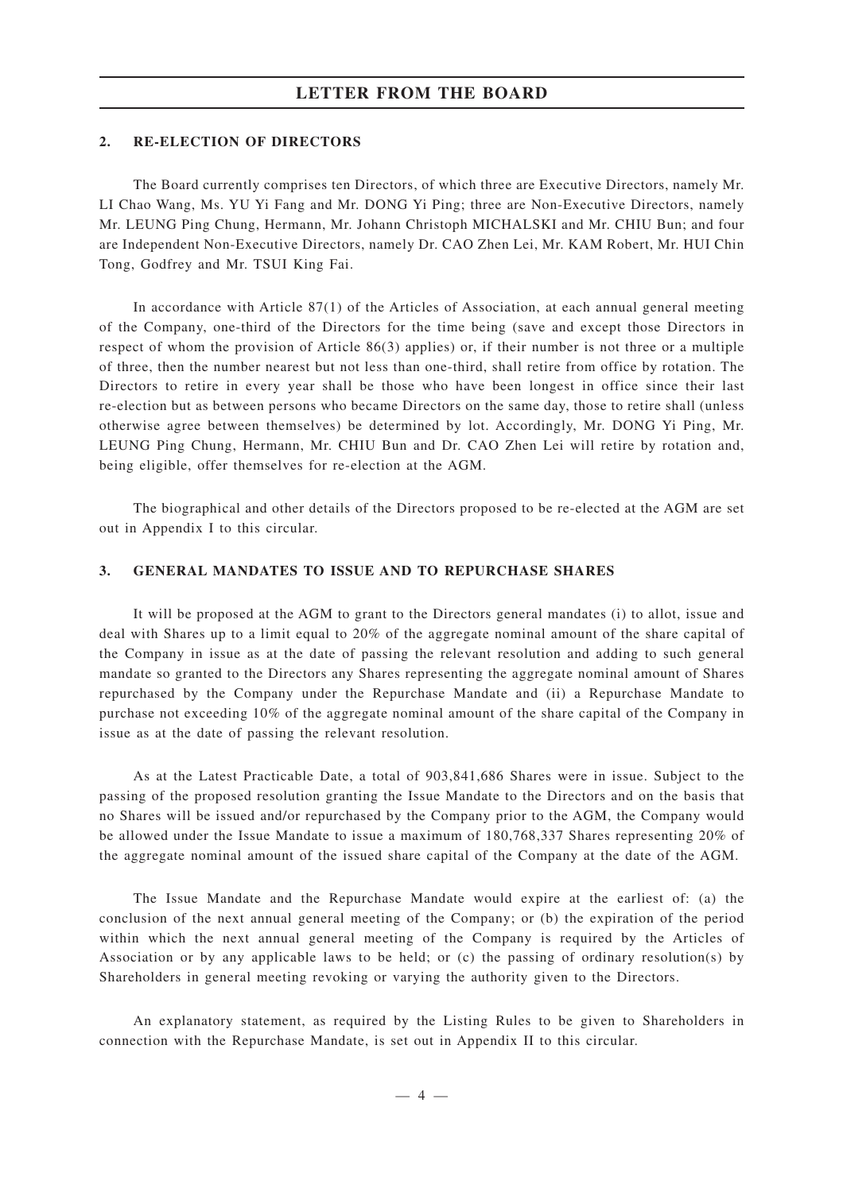### **LETTER FROM THE BOARD**

#### **2. RE-ELECTION OF DIRECTORS**

The Board currently comprises ten Directors, of which three are Executive Directors, namely Mr. LI Chao Wang, Ms. YU Yi Fang and Mr. DONG Yi Ping; three are Non-Executive Directors, namely Mr. LEUNG Ping Chung, Hermann, Mr. Johann Christoph MICHALSKI and Mr. CHIU Bun; and four are Independent Non-Executive Directors, namely Dr. CAO Zhen Lei, Mr. KAM Robert, Mr. HUI Chin Tong, Godfrey and Mr. TSUI King Fai.

In accordance with Article 87(1) of the Articles of Association, at each annual general meeting of the Company, one-third of the Directors for the time being (save and except those Directors in respect of whom the provision of Article 86(3) applies) or, if their number is not three or a multiple of three, then the number nearest but not less than one-third, shall retire from office by rotation. The Directors to retire in every year shall be those who have been longest in office since their last re-election but as between persons who became Directors on the same day, those to retire shall (unless otherwise agree between themselves) be determined by lot. Accordingly, Mr. DONG Yi Ping, Mr. LEUNG Ping Chung, Hermann, Mr. CHIU Bun and Dr. CAO Zhen Lei will retire by rotation and, being eligible, offer themselves for re-election at the AGM.

The biographical and other details of the Directors proposed to be re-elected at the AGM are set out in Appendix I to this circular.

#### **3. GENERAL MANDATES TO ISSUE AND TO REPURCHASE SHARES**

It will be proposed at the AGM to grant to the Directors general mandates (i) to allot, issue and deal with Shares up to a limit equal to 20% of the aggregate nominal amount of the share capital of the Company in issue as at the date of passing the relevant resolution and adding to such general mandate so granted to the Directors any Shares representing the aggregate nominal amount of Shares repurchased by the Company under the Repurchase Mandate and (ii) a Repurchase Mandate to purchase not exceeding 10% of the aggregate nominal amount of the share capital of the Company in issue as at the date of passing the relevant resolution.

As at the Latest Practicable Date, a total of 903,841,686 Shares were in issue. Subject to the passing of the proposed resolution granting the Issue Mandate to the Directors and on the basis that no Shares will be issued and/or repurchased by the Company prior to the AGM, the Company would be allowed under the Issue Mandate to issue a maximum of 180,768,337 Shares representing 20% of the aggregate nominal amount of the issued share capital of the Company at the date of the AGM.

The Issue Mandate and the Repurchase Mandate would expire at the earliest of: (a) the conclusion of the next annual general meeting of the Company; or (b) the expiration of the period within which the next annual general meeting of the Company is required by the Articles of Association or by any applicable laws to be held; or (c) the passing of ordinary resolution(s) by Shareholders in general meeting revoking or varying the authority given to the Directors.

An explanatory statement, as required by the Listing Rules to be given to Shareholders in connection with the Repurchase Mandate, is set out in Appendix II to this circular.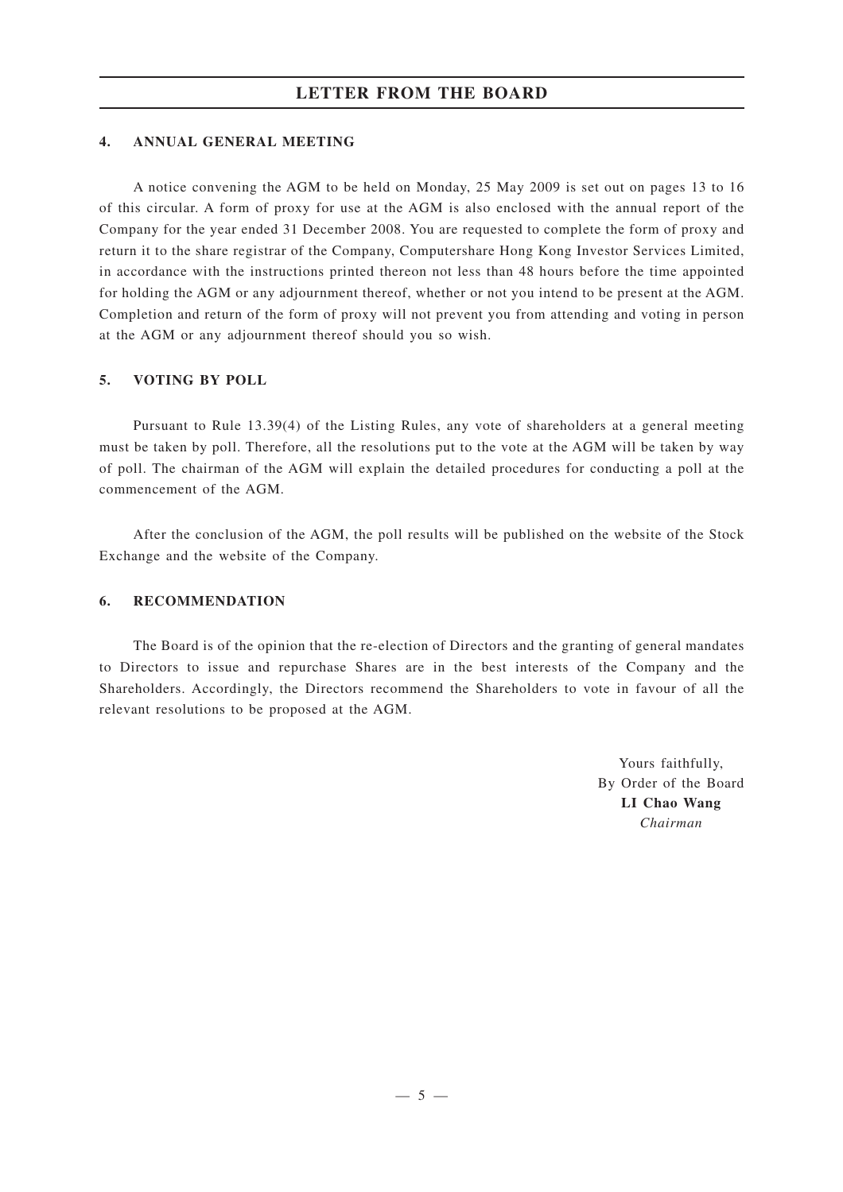### **4. ANNUAL GENERAL MEETING**

A notice convening the AGM to be held on Monday, 25 May 2009 is set out on pages 13 to 16 of this circular. A form of proxy for use at the AGM is also enclosed with the annual report of the Company for the year ended 31 December 2008. You are requested to complete the form of proxy and return it to the share registrar of the Company, Computershare Hong Kong Investor Services Limited, in accordance with the instructions printed thereon not less than 48 hours before the time appointed for holding the AGM or any adjournment thereof, whether or not you intend to be present at the AGM. Completion and return of the form of proxy will not prevent you from attending and voting in person at the AGM or any adjournment thereof should you so wish.

### **5. VOTING BY POLL**

Pursuant to Rule 13.39(4) of the Listing Rules, any vote of shareholders at a general meeting must be taken by poll. Therefore, all the resolutions put to the vote at the AGM will be taken by way of poll. The chairman of the AGM will explain the detailed procedures for conducting a poll at the commencement of the AGM.

After the conclusion of the AGM, the poll results will be published on the website of the Stock Exchange and the website of the Company.

## **6. RECOMMENDATION**

The Board is of the opinion that the re-election of Directors and the granting of general mandates to Directors to issue and repurchase Shares are in the best interests of the Company and the Shareholders. Accordingly, the Directors recommend the Shareholders to vote in favour of all the relevant resolutions to be proposed at the AGM.

> Yours faithfully, By Order of the Board **LI Chao Wang** *Chairman*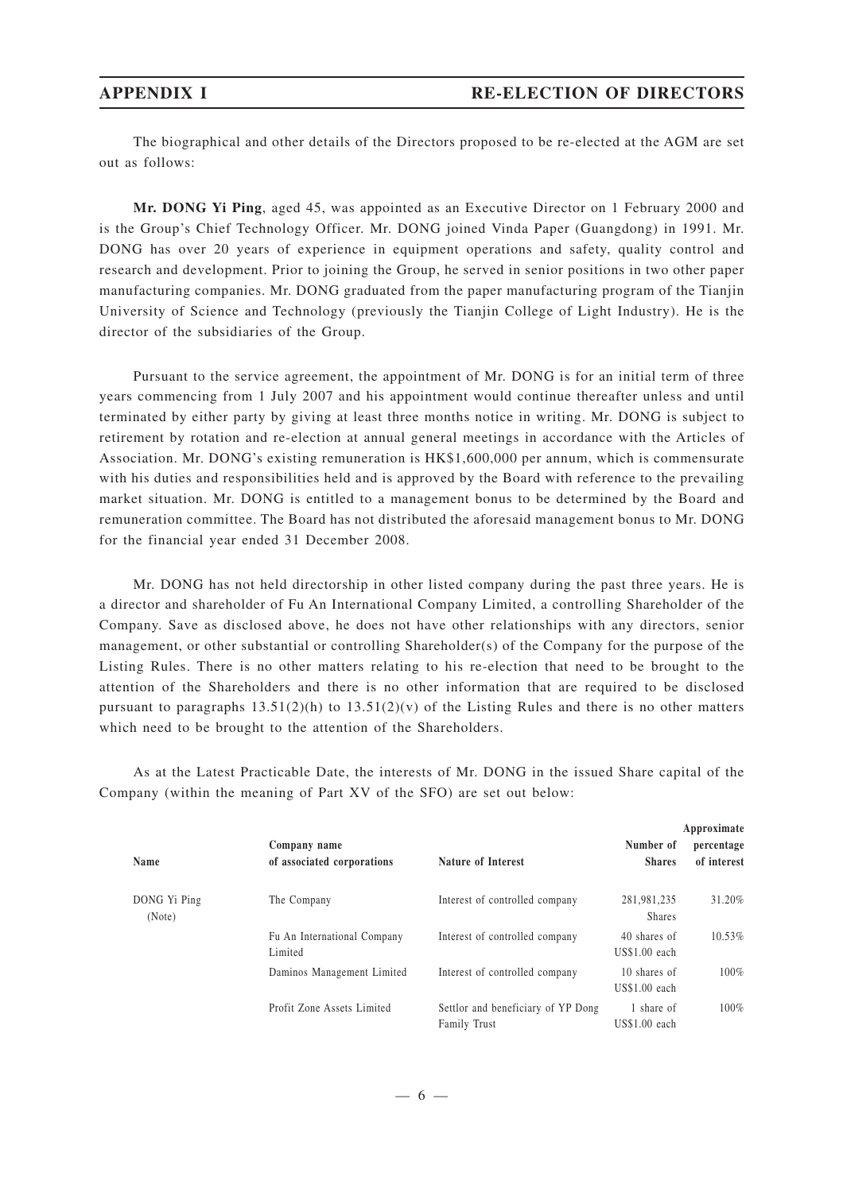The biographical and other details of the Directors proposed to be re-elected at the AGM are set out as follows:

**Mr. DONG Yi Ping**, aged 45, was appointed as an Executive Director on 1 February 2000 and is the Group's Chief Technology Officer. Mr. DONG joined Vinda Paper (Guangdong) in 1991. Mr. DONG has over 20 years of experience in equipment operations and safety, quality control and research and development. Prior to joining the Group, he served in senior positions in two other paper manufacturing companies. Mr. DONG graduated from the paper manufacturing program of the Tianjin University of Science and Technology (previously the Tianjin College of Light Industry). He is the director of the subsidiaries of the Group.

Pursuant to the service agreement, the appointment of Mr. DONG is for an initial term of three years commencing from 1 July 2007 and his appointment would continue thereafter unless and until terminated by either party by giving at least three months notice in writing. Mr. DONG is subject to retirement by rotation and re-election at annual general meetings in accordance with the Articles of Association. Mr. DONG's existing remuneration is HK\$1,600,000 per annum, which is commensurate with his duties and responsibilities held and is approved by the Board with reference to the prevailing market situation. Mr. DONG is entitled to a management bonus to be determined by the Board and remuneration committee. The Board has not distributed the aforesaid management bonus to Mr. DONG for the financial year ended 31 December 2008.

Mr. DONG has not held directorship in other listed company during the past three years. He is a director and shareholder of Fu An International Company Limited, a controlling Shareholder of the Company. Save as disclosed above, he does not have other relationships with any directors, senior management, or other substantial or controlling Shareholder(s) of the Company for the purpose of the Listing Rules. There is no other matters relating to his re-election that need to be brought to the attention of the Shareholders and there is no other information that are required to be disclosed pursuant to paragraphs  $13.51(2)(h)$  to  $13.51(2)(v)$  of the Listing Rules and there is no other matters which need to be brought to the attention of the Shareholders.

As at the Latest Practicable Date, the interests of Mr. DONG in the issued Share capital of the Company (within the meaning of Part XV of the SFO) are set out below:

| Name                   | Company name<br>of associated corporations | <b>Nature of Interest</b>                                 | Number of<br><b>Shares</b>     | Approximate<br>percentage<br>of interest |
|------------------------|--------------------------------------------|-----------------------------------------------------------|--------------------------------|------------------------------------------|
| DONG Yi Ping<br>(Note) | The Company                                | Interest of controlled company                            | 281,981,235<br><b>Shares</b>   | 31.20%                                   |
|                        | Fu An International Company<br>Limited     | Interest of controlled company                            | 40 shares of<br>$US$1.00$ each | 10.53%                                   |
|                        | Daminos Management Limited                 | Interest of controlled company                            | 10 shares of<br>$US$1.00$ each | 100%                                     |
|                        | Profit Zone Assets Limited                 | Settlor and beneficiary of YP Dong<br><b>Family Trust</b> | 1 share of<br>$US$1.00$ each   | 100%                                     |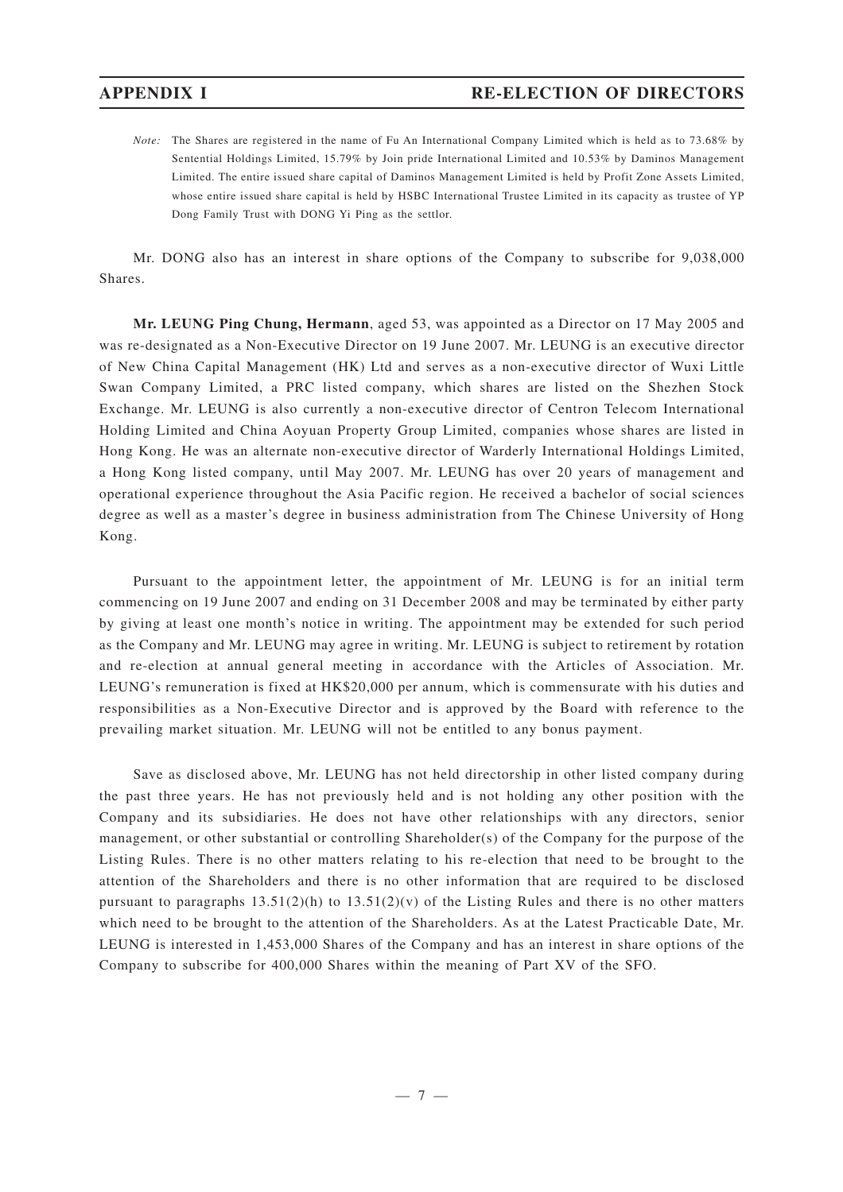*Note:* The Shares are registered in the name of Fu An International Company Limited which is held as to 73.68% by Sentential Holdings Limited, 15.79% by Join pride International Limited and 10.53% by Daminos Management Limited. The entire issued share capital of Daminos Management Limited is held by Profit Zone Assets Limited, whose entire issued share capital is held by HSBC International Trustee Limited in its capacity as trustee of YP Dong Family Trust with DONG Yi Ping as the settlor.

Mr. DONG also has an interest in share options of the Company to subscribe for 9,038,000 Shares.

**Mr. LEUNG Ping Chung, Hermann**, aged 53, was appointed as a Director on 17 May 2005 and was re-designated as a Non-Executive Director on 19 June 2007. Mr. LEUNG is an executive director of New China Capital Management (HK) Ltd and serves as a non-executive director of Wuxi Little Swan Company Limited, a PRC listed company, which shares are listed on the Shezhen Stock Exchange. Mr. LEUNG is also currently a non-executive director of Centron Telecom International Holding Limited and China Aoyuan Property Group Limited, companies whose shares are listed in Hong Kong. He was an alternate non-executive director of Warderly International Holdings Limited, a Hong Kong listed company, until May 2007. Mr. LEUNG has over 20 years of management and operational experience throughout the Asia Pacific region. He received a bachelor of social sciences degree as well as a master 's degree in business administration from The Chinese University of Hong Kong.

Pursuant to the appointment letter, the appointment of Mr. LEUNG is for an initial term commencing on 19 June 2007 and ending on 31 December 2008 and may be terminated by either party by giving at least one month's notice in writing. The appointment may be extended for such period as the Company and Mr. LEUNG may agree in writing. Mr. LEUNG is subject to retirement by rotation and re-election at annual general meeting in accordance with the Articles of Association. Mr. LEUNG's remuneration is fixed at HK\$20,000 per annum, which is commensurate with his duties and responsibilities as a Non-Executive Director and is approved by the Board with reference to the prevailing market situation. Mr. LEUNG will not be entitled to any bonus payment.

Save as disclosed above, Mr. LEUNG has not held directorship in other listed company during the past three years. He has not previously held and is not holding any other position with the Company and its subsidiaries. He does not have other relationships with any directors, senior management, or other substantial or controlling Shareholder(s) of the Company for the purpose of the Listing Rules. There is no other matters relating to his re-election that need to be brought to the attention of the Shareholders and there is no other information that are required to be disclosed pursuant to paragraphs  $13.51(2)(h)$  to  $13.51(2)(v)$  of the Listing Rules and there is no other matters which need to be brought to the attention of the Shareholders. As at the Latest Practicable Date, Mr. LEUNG is interested in 1,453,000 Shares of the Company and has an interest in share options of the Company to subscribe for 400,000 Shares within the meaning of Part XV of the SFO.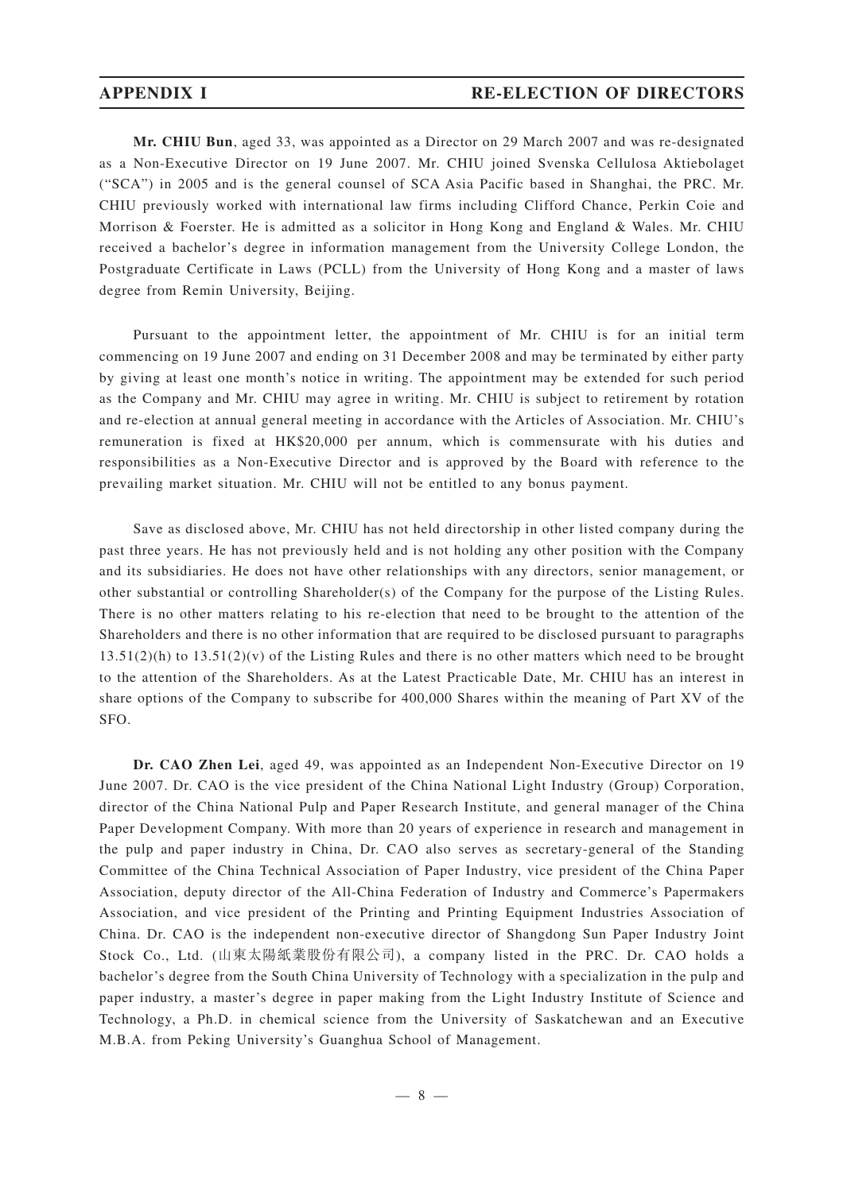**Mr. CHIU Bun**, aged 33, was appointed as a Director on 29 March 2007 and was re-designated as a Non-Executive Director on 19 June 2007. Mr. CHIU joined Svenska Cellulosa Aktiebolaget ("SCA") in 2005 and is the general counsel of SCA Asia Pacific based in Shanghai, the PRC. Mr. CHIU previously worked with international law firms including Clifford Chance, Perkin Coie and Morrison & Foerster. He is admitted as a solicitor in Hong Kong and England & Wales. Mr. CHIU received a bachelor 's degree in information management from the University College London, the Postgraduate Certificate in Laws (PCLL) from the University of Hong Kong and a master of laws degree from Remin University, Beijing.

Pursuant to the appointment letter, the appointment of Mr. CHIU is for an initial term commencing on 19 June 2007 and ending on 31 December 2008 and may be terminated by either party by giving at least one month's notice in writing. The appointment may be extended for such period as the Company and Mr. CHIU may agree in writing. Mr. CHIU is subject to retirement by rotation and re-election at annual general meeting in accordance with the Articles of Association. Mr. CHIU's remuneration is fixed at HK\$20,000 per annum, which is commensurate with his duties and responsibilities as a Non-Executive Director and is approved by the Board with reference to the prevailing market situation. Mr. CHIU will not be entitled to any bonus payment.

Save as disclosed above, Mr. CHIU has not held directorship in other listed company during the past three years. He has not previously held and is not holding any other position with the Company and its subsidiaries. He does not have other relationships with any directors, senior management, or other substantial or controlling Shareholder(s) of the Company for the purpose of the Listing Rules. There is no other matters relating to his re-election that need to be brought to the attention of the Shareholders and there is no other information that are required to be disclosed pursuant to paragraphs  $13.51(2)(h)$  to  $13.51(2)(v)$  of the Listing Rules and there is no other matters which need to be brought to the attention of the Shareholders. As at the Latest Practicable Date, Mr. CHIU has an interest in share options of the Company to subscribe for 400,000 Shares within the meaning of Part XV of the SFO.

**Dr. CAO Zhen Lei**, aged 49, was appointed as an Independent Non-Executive Director on 19 June 2007. Dr. CAO is the vice president of the China National Light Industry (Group) Corporation, director of the China National Pulp and Paper Research Institute, and general manager of the China Paper Development Company. With more than 20 years of experience in research and management in the pulp and paper industry in China, Dr. CAO also serves as secretary-general of the Standing Committee of the China Technical Association of Paper Industry, vice president of the China Paper Association, deputy director of the All-China Federation of Industry and Commerce's Papermakers Association, and vice president of the Printing and Printing Equipment Industries Association of China. Dr. CAO is the independent non-executive director of Shangdong Sun Paper Industry Joint Stock Co., Ltd. (山東太陽紙業股份有限公司), a company listed in the PRC. Dr. CAO holds a bachelor 's degree from the South China University of Technology with a specialization in the pulp and paper industry, a master 's degree in paper making from the Light Industry Institute of Science and Technology, a Ph.D. in chemical science from the University of Saskatchewan and an Executive M.B.A. from Peking University's Guanghua School of Management.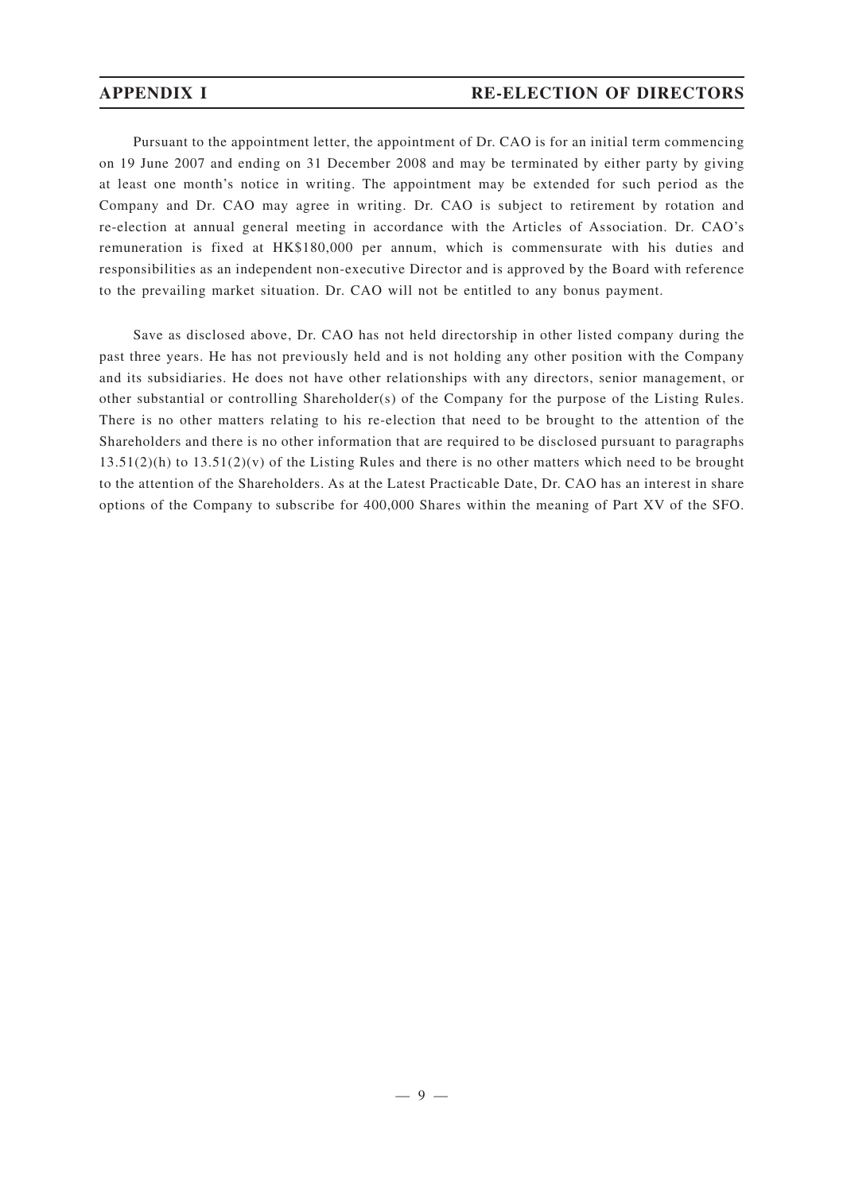Pursuant to the appointment letter, the appointment of Dr. CAO is for an initial term commencing on 19 June 2007 and ending on 31 December 2008 and may be terminated by either party by giving at least one month's notice in writing. The appointment may be extended for such period as the Company and Dr. CAO may agree in writing. Dr. CAO is subject to retirement by rotation and re-election at annual general meeting in accordance with the Articles of Association. Dr. CAO's remuneration is fixed at HK\$180,000 per annum, which is commensurate with his duties and responsibilities as an independent non-executive Director and is approved by the Board with reference to the prevailing market situation. Dr. CAO will not be entitled to any bonus payment.

Save as disclosed above, Dr. CAO has not held directorship in other listed company during the past three years. He has not previously held and is not holding any other position with the Company and its subsidiaries. He does not have other relationships with any directors, senior management, or other substantial or controlling Shareholder(s) of the Company for the purpose of the Listing Rules. There is no other matters relating to his re-election that need to be brought to the attention of the Shareholders and there is no other information that are required to be disclosed pursuant to paragraphs  $13.51(2)(h)$  to  $13.51(2)(v)$  of the Listing Rules and there is no other matters which need to be brought to the attention of the Shareholders. As at the Latest Practicable Date, Dr. CAO has an interest in share options of the Company to subscribe for 400,000 Shares within the meaning of Part XV of the SFO.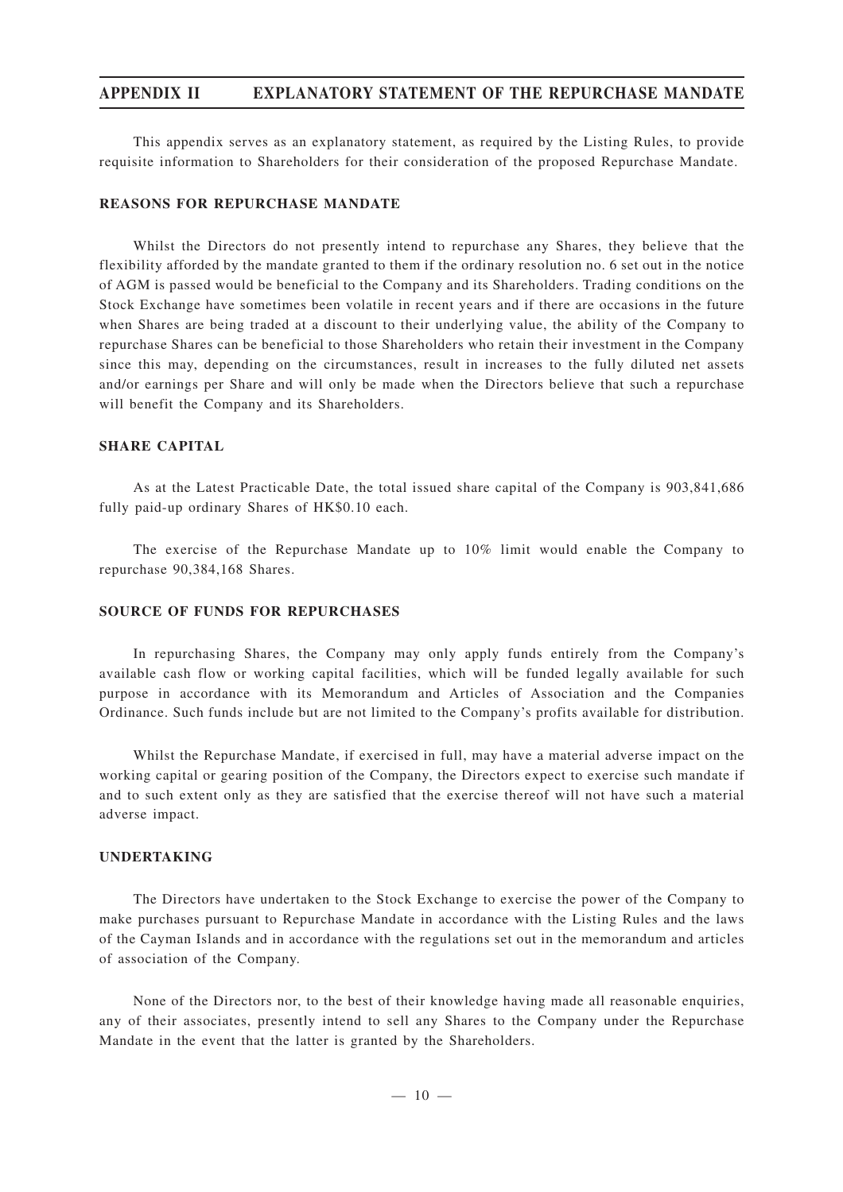## **APPENDIX II EXPLANATORY STATEMENT OF THE REPURCHASE MANDATE**

This appendix serves as an explanatory statement, as required by the Listing Rules, to provide requisite information to Shareholders for their consideration of the proposed Repurchase Mandate.

#### **REASONS FOR REPURCHASE MANDATE**

Whilst the Directors do not presently intend to repurchase any Shares, they believe that the flexibility afforded by the mandate granted to them if the ordinary resolution no. 6 set out in the notice of AGM is passed would be beneficial to the Company and its Shareholders. Trading conditions on the Stock Exchange have sometimes been volatile in recent years and if there are occasions in the future when Shares are being traded at a discount to their underlying value, the ability of the Company to repurchase Shares can be beneficial to those Shareholders who retain their investment in the Company since this may, depending on the circumstances, result in increases to the fully diluted net assets and/or earnings per Share and will only be made when the Directors believe that such a repurchase will benefit the Company and its Shareholders.

## **SHARE CAPITAL**

As at the Latest Practicable Date, the total issued share capital of the Company is 903,841,686 fully paid-up ordinary Shares of HK\$0.10 each.

The exercise of the Repurchase Mandate up to 10% limit would enable the Company to repurchase 90,384,168 Shares.

#### **SOURCE OF FUNDS FOR REPURCHASES**

In repurchasing Shares, the Company may only apply funds entirely from the Company's available cash flow or working capital facilities, which will be funded legally available for such purpose in accordance with its Memorandum and Articles of Association and the Companies Ordinance. Such funds include but are not limited to the Company's profits available for distribution.

Whilst the Repurchase Mandate, if exercised in full, may have a material adverse impact on the working capital or gearing position of the Company, the Directors expect to exercise such mandate if and to such extent only as they are satisfied that the exercise thereof will not have such a material adverse impact.

#### **UNDERTAKING**

The Directors have undertaken to the Stock Exchange to exercise the power of the Company to make purchases pursuant to Repurchase Mandate in accordance with the Listing Rules and the laws of the Cayman Islands and in accordance with the regulations set out in the memorandum and articles of association of the Company.

None of the Directors nor, to the best of their knowledge having made all reasonable enquiries, any of their associates, presently intend to sell any Shares to the Company under the Repurchase Mandate in the event that the latter is granted by the Shareholders.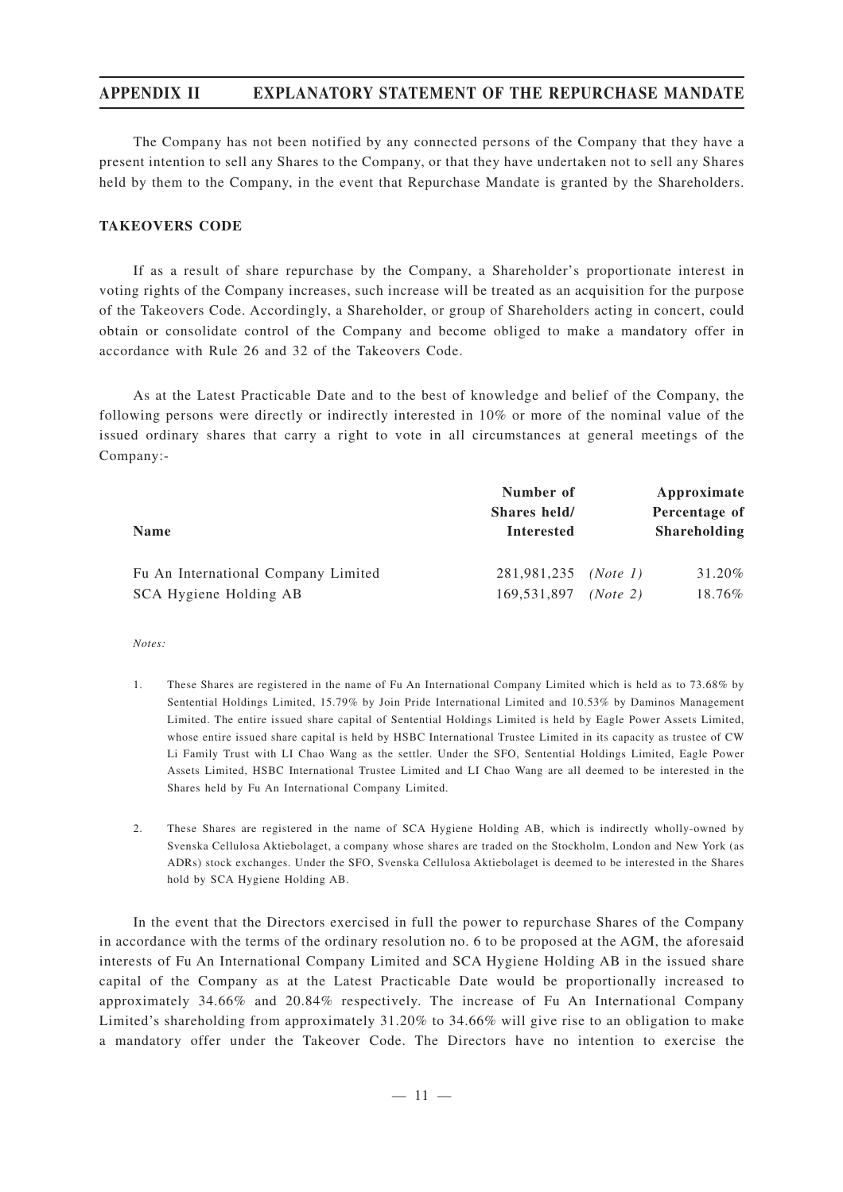# **APPENDIX II EXPLANATORY STATEMENT OF THE REPURCHASE MANDATE**

The Company has not been notified by any connected persons of the Company that they have a present intention to sell any Shares to the Company, or that they have undertaken not to sell any Shares held by them to the Company, in the event that Repurchase Mandate is granted by the Shareholders.

#### **TAKEOVERS CODE**

If as a result of share repurchase by the Company, a Shareholder's proportionate interest in voting rights of the Company increases, such increase will be treated as an acquisition for the purpose of the Takeovers Code. Accordingly, a Shareholder, or group of Shareholders acting in concert, could obtain or consolidate control of the Company and become obliged to make a mandatory offer in accordance with Rule 26 and 32 of the Takeovers Code.

As at the Latest Practicable Date and to the best of knowledge and belief of the Company, the following persons were directly or indirectly interested in 10% or more of the nominal value of the issued ordinary shares that carry a right to vote in all circumstances at general meetings of the Company:-

|                                     | Number of<br>Shares held/   |          | Approximate<br>Percentage of |
|-------------------------------------|-----------------------------|----------|------------------------------|
| <b>Name</b>                         | <b>Interested</b>           |          | <b>Shareholding</b>          |
| Fu An International Company Limited | 281,981,235 <i>(Note 1)</i> |          | 31.20%                       |
| SCA Hygiene Holding AB              | 169.531.897                 | (Note 2) | 18.76%                       |

*Notes:*

- 1. These Shares are registered in the name of Fu An International Company Limited which is held as to 73.68% by Sentential Holdings Limited, 15.79% by Join Pride International Limited and 10.53% by Daminos Management Limited. The entire issued share capital of Sentential Holdings Limited is held by Eagle Power Assets Limited, whose entire issued share capital is held by HSBC International Trustee Limited in its capacity as trustee of CW Li Family Trust with LI Chao Wang as the settler. Under the SFO, Sentential Holdings Limited, Eagle Power Assets Limited, HSBC International Trustee Limited and LI Chao Wang are all deemed to be interested in the Shares held by Fu An International Company Limited.
- 2. These Shares are registered in the name of SCA Hygiene Holding AB, which is indirectly wholly-owned by Svenska Cellulosa Aktiebolaget, a company whose shares are traded on the Stockholm, London and New York (as ADRs) stock exchanges. Under the SFO, Svenska Cellulosa Aktiebolaget is deemed to be interested in the Shares hold by SCA Hygiene Holding AB.

In the event that the Directors exercised in full the power to repurchase Shares of the Company in accordance with the terms of the ordinary resolution no. 6 to be proposed at the AGM, the aforesaid interests of Fu An International Company Limited and SCA Hygiene Holding AB in the issued share capital of the Company as at the Latest Practicable Date would be proportionally increased to approximately 34.66% and 20.84% respectively. The increase of Fu An International Company Limited's shareholding from approximately 31.20% to 34.66% will give rise to an obligation to make a mandatory offer under the Takeover Code. The Directors have no intention to exercise the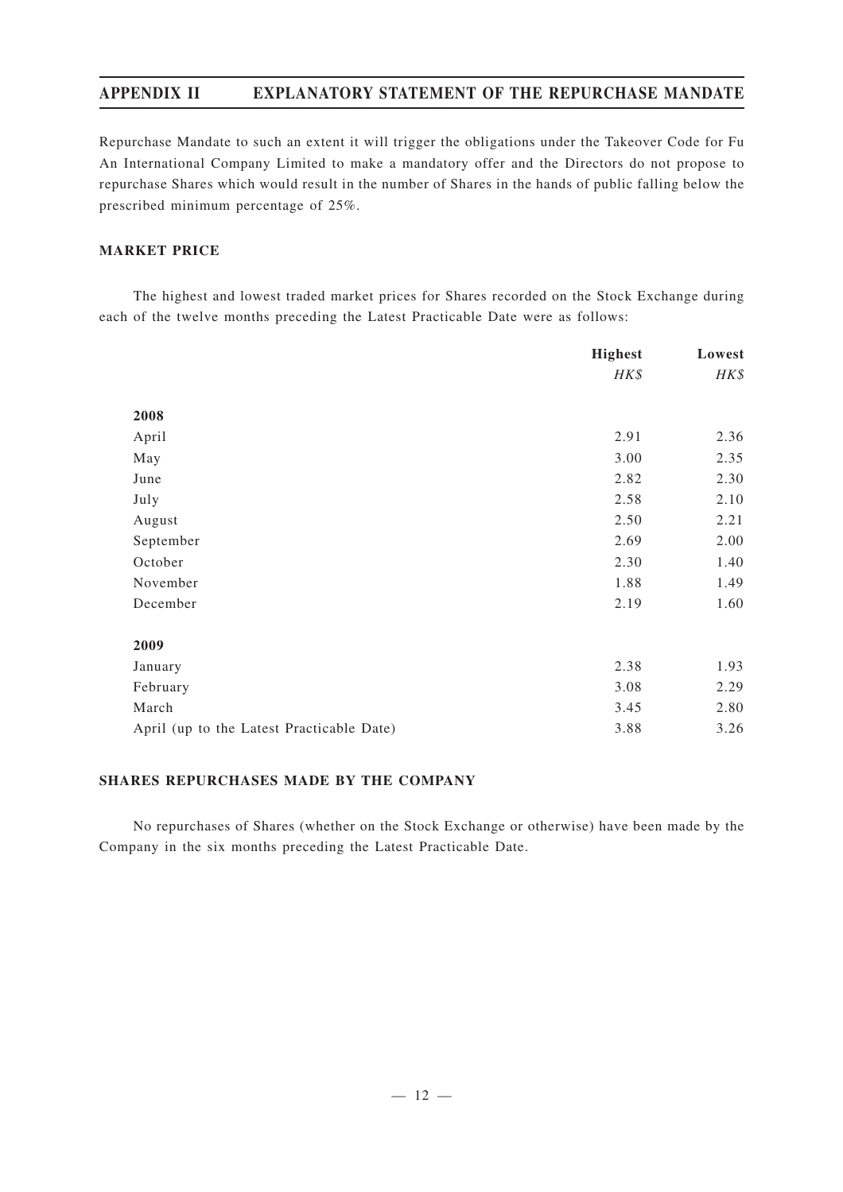# **APPENDIX II EXPLANATORY STATEMENT OF THE REPURCHASE MANDATE**

Repurchase Mandate to such an extent it will trigger the obligations under the Takeover Code for Fu An International Company Limited to make a mandatory offer and the Directors do not propose to repurchase Shares which would result in the number of Shares in the hands of public falling below the prescribed minimum percentage of 25%.

### **MARKET PRICE**

The highest and lowest traded market prices for Shares recorded on the Stock Exchange during each of the twelve months preceding the Latest Practicable Date were as follows:

|                                           | <b>Highest</b> | Lowest |
|-------------------------------------------|----------------|--------|
|                                           | HK\$           | HK\$   |
| 2008                                      |                |        |
| April                                     | 2.91           | 2.36   |
|                                           |                |        |
| May                                       | 3.00           | 2.35   |
| June                                      | 2.82           | 2.30   |
| July                                      | 2.58           | 2.10   |
| August                                    | 2.50           | 2.21   |
| September                                 | 2.69           | 2.00   |
| October                                   | 2.30           | 1.40   |
| November                                  | 1.88           | 1.49   |
| December                                  | 2.19           | 1.60   |
| 2009                                      |                |        |
| January                                   | 2.38           | 1.93   |
| February                                  | 3.08           | 2.29   |
|                                           |                |        |
| March                                     | 3.45           | 2.80   |
| April (up to the Latest Practicable Date) | 3.88           | 3.26   |

#### **SHARES REPURCHASES MADE BY THE COMPANY**

No repurchases of Shares (whether on the Stock Exchange or otherwise) have been made by the Company in the six months preceding the Latest Practicable Date.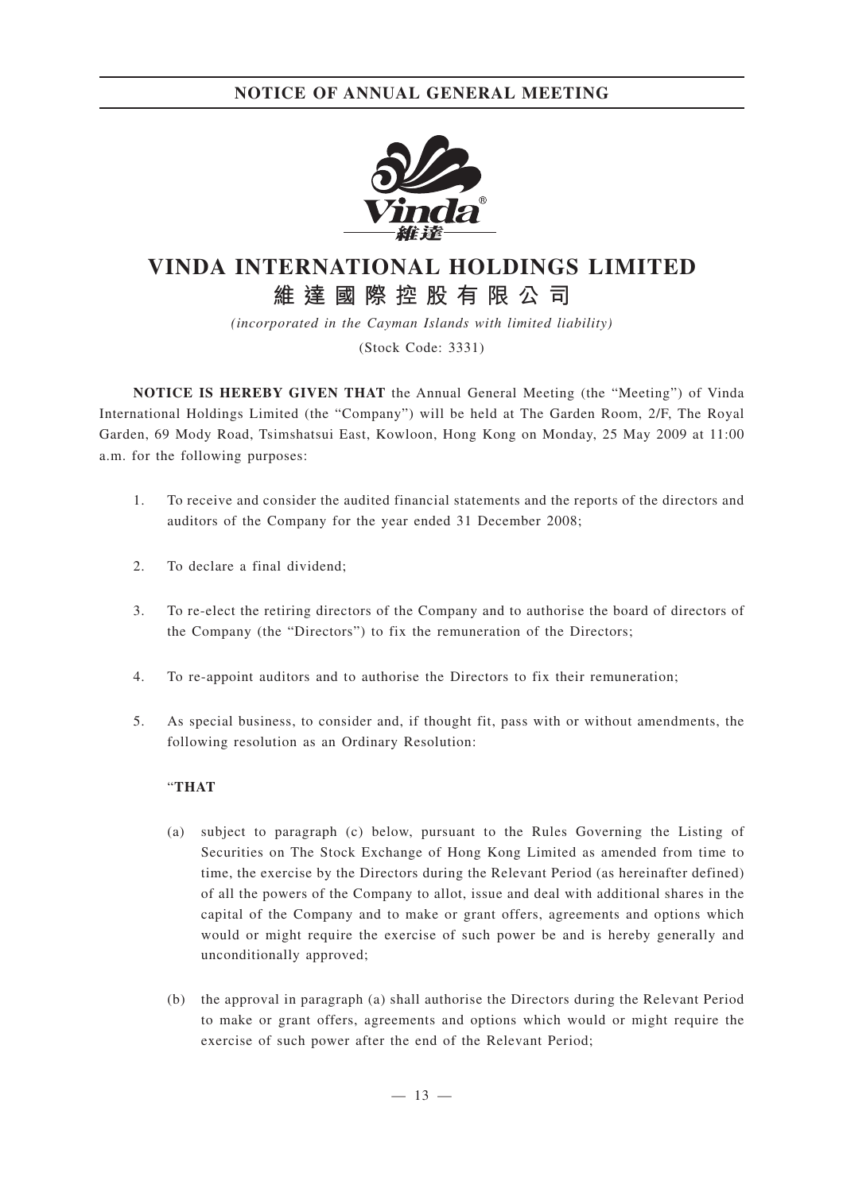

# **VINDA INTERNATIONAL HOLDINGS LIMITED 維達國際控股有限公司**

*(incorporated in the Cayman Islands with limited liability)* (Stock Code: 3331)

**NOTICE IS HEREBY GIVEN THAT** the Annual General Meeting (the "Meeting") of Vinda International Holdings Limited (the "Company") will be held at The Garden Room, 2/F, The Royal Garden, 69 Mody Road, Tsimshatsui East, Kowloon, Hong Kong on Monday, 25 May 2009 at 11:00 a.m. for the following purposes:

- 1. To receive and consider the audited financial statements and the reports of the directors and auditors of the Company for the year ended 31 December 2008;
- 2. To declare a final dividend;
- 3. To re-elect the retiring directors of the Company and to authorise the board of directors of the Company (the "Directors") to fix the remuneration of the Directors;
- 4. To re-appoint auditors and to authorise the Directors to fix their remuneration;
- 5. As special business, to consider and, if thought fit, pass with or without amendments, the following resolution as an Ordinary Resolution:

### "**THAT**

- (a) subject to paragraph (c) below, pursuant to the Rules Governing the Listing of Securities on The Stock Exchange of Hong Kong Limited as amended from time to time, the exercise by the Directors during the Relevant Period (as hereinafter defined) of all the powers of the Company to allot, issue and deal with additional shares in the capital of the Company and to make or grant offers, agreements and options which would or might require the exercise of such power be and is hereby generally and unconditionally approved;
- (b) the approval in paragraph (a) shall authorise the Directors during the Relevant Period to make or grant offers, agreements and options which would or might require the exercise of such power after the end of the Relevant Period;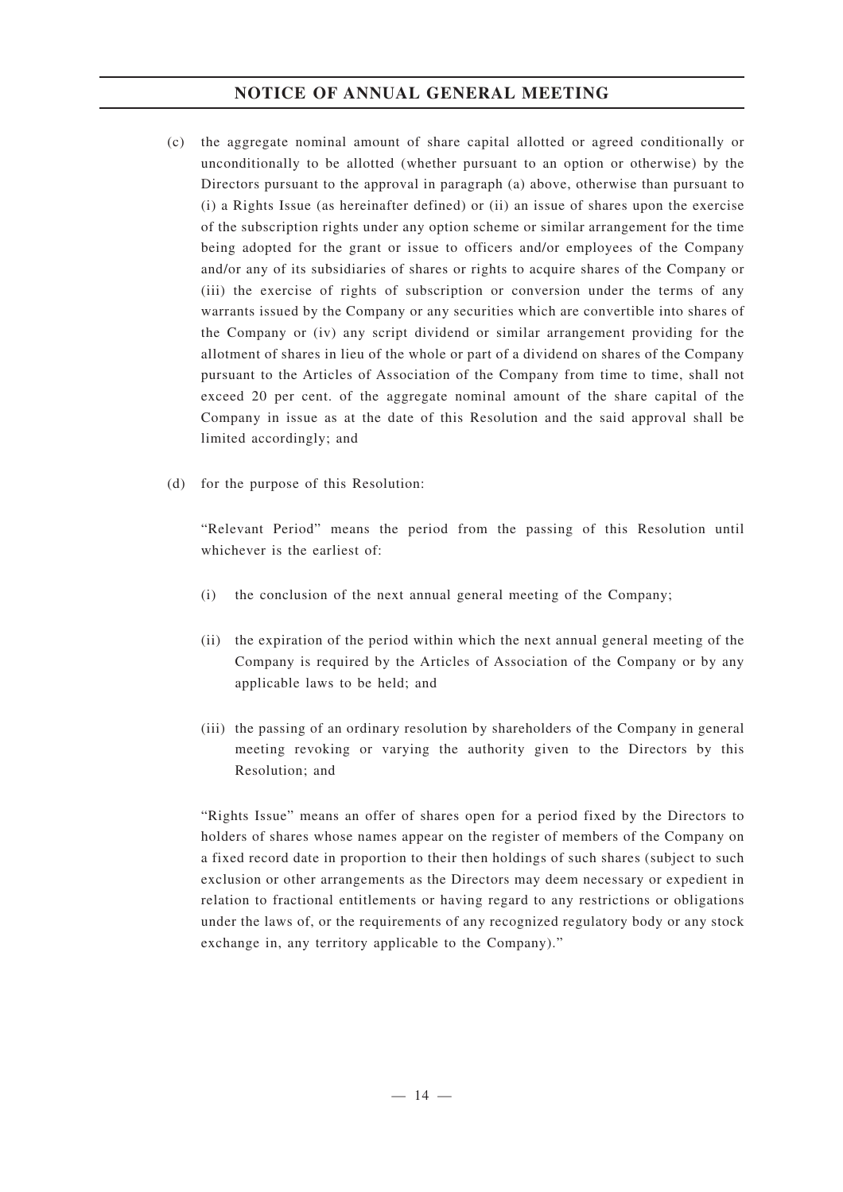# **NOTICE OF ANNUAL GENERAL MEETING**

- (c) the aggregate nominal amount of share capital allotted or agreed conditionally or unconditionally to be allotted (whether pursuant to an option or otherwise) by the Directors pursuant to the approval in paragraph (a) above, otherwise than pursuant to (i) a Rights Issue (as hereinafter defined) or (ii) an issue of shares upon the exercise of the subscription rights under any option scheme or similar arrangement for the time being adopted for the grant or issue to officers and/or employees of the Company and/or any of its subsidiaries of shares or rights to acquire shares of the Company or (iii) the exercise of rights of subscription or conversion under the terms of any warrants issued by the Company or any securities which are convertible into shares of the Company or (iv) any script dividend or similar arrangement providing for the allotment of shares in lieu of the whole or part of a dividend on shares of the Company pursuant to the Articles of Association of the Company from time to time, shall not exceed 20 per cent. of the aggregate nominal amount of the share capital of the Company in issue as at the date of this Resolution and the said approval shall be limited accordingly; and
- (d) for the purpose of this Resolution:

"Relevant Period" means the period from the passing of this Resolution until whichever is the earliest of:

- (i) the conclusion of the next annual general meeting of the Company;
- (ii) the expiration of the period within which the next annual general meeting of the Company is required by the Articles of Association of the Company or by any applicable laws to be held; and
- (iii) the passing of an ordinary resolution by shareholders of the Company in general meeting revoking or varying the authority given to the Directors by this Resolution; and

"Rights Issue" means an offer of shares open for a period fixed by the Directors to holders of shares whose names appear on the register of members of the Company on a fixed record date in proportion to their then holdings of such shares (subject to such exclusion or other arrangements as the Directors may deem necessary or expedient in relation to fractional entitlements or having regard to any restrictions or obligations under the laws of, or the requirements of any recognized regulatory body or any stock exchange in, any territory applicable to the Company)."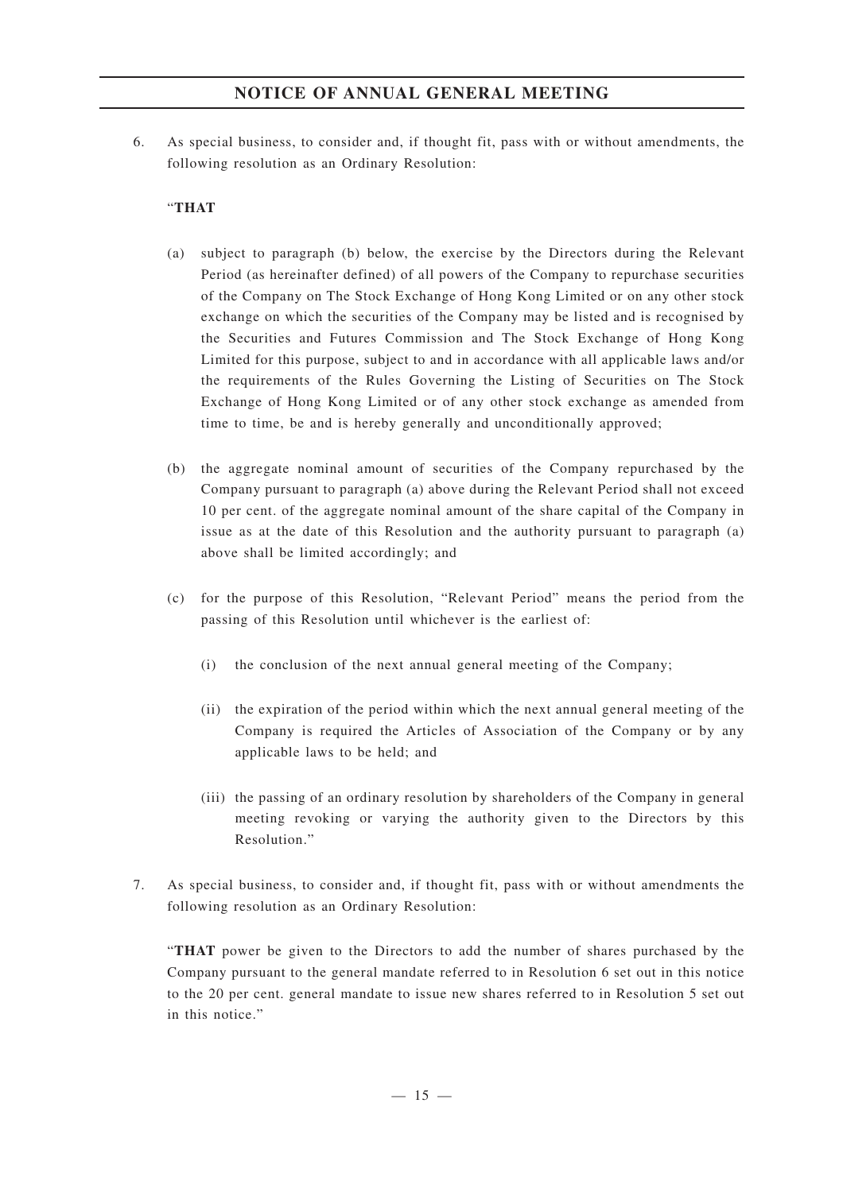# **NOTICE OF ANNUAL GENERAL MEETING**

6. As special business, to consider and, if thought fit, pass with or without amendments, the following resolution as an Ordinary Resolution:

### "**THAT**

- (a) subject to paragraph (b) below, the exercise by the Directors during the Relevant Period (as hereinafter defined) of all powers of the Company to repurchase securities of the Company on The Stock Exchange of Hong Kong Limited or on any other stock exchange on which the securities of the Company may be listed and is recognised by the Securities and Futures Commission and The Stock Exchange of Hong Kong Limited for this purpose, subject to and in accordance with all applicable laws and/or the requirements of the Rules Governing the Listing of Securities on The Stock Exchange of Hong Kong Limited or of any other stock exchange as amended from time to time, be and is hereby generally and unconditionally approved;
- (b) the aggregate nominal amount of securities of the Company repurchased by the Company pursuant to paragraph (a) above during the Relevant Period shall not exceed 10 per cent. of the aggregate nominal amount of the share capital of the Company in issue as at the date of this Resolution and the authority pursuant to paragraph (a) above shall be limited accordingly; and
- (c) for the purpose of this Resolution, "Relevant Period" means the period from the passing of this Resolution until whichever is the earliest of:
	- (i) the conclusion of the next annual general meeting of the Company;
	- (ii) the expiration of the period within which the next annual general meeting of the Company is required the Articles of Association of the Company or by any applicable laws to be held; and
	- (iii) the passing of an ordinary resolution by shareholders of the Company in general meeting revoking or varying the authority given to the Directors by this Resolution."
- 7. As special business, to consider and, if thought fit, pass with or without amendments the following resolution as an Ordinary Resolution:

"**THAT** power be given to the Directors to add the number of shares purchased by the Company pursuant to the general mandate referred to in Resolution 6 set out in this notice to the 20 per cent. general mandate to issue new shares referred to in Resolution 5 set out in this notice."